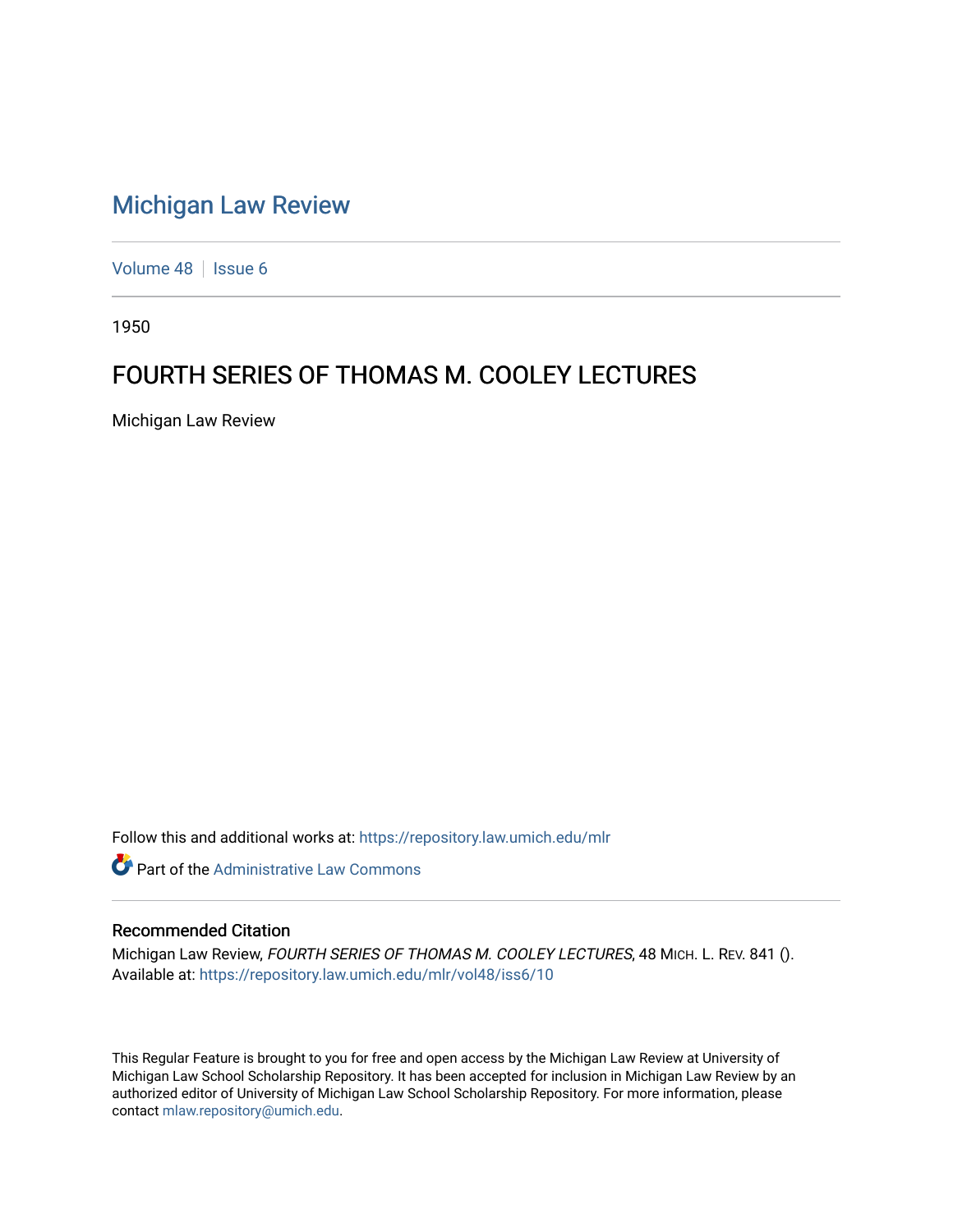## [Michigan Law Review](https://repository.law.umich.edu/mlr)

[Volume 48](https://repository.law.umich.edu/mlr/vol48) | [Issue 6](https://repository.law.umich.edu/mlr/vol48/iss6)

1950

## FOURTH SERIES OF THOMAS M. COOLEY LECTURES

Michigan Law Review

Follow this and additional works at: [https://repository.law.umich.edu/mlr](https://repository.law.umich.edu/mlr?utm_source=repository.law.umich.edu%2Fmlr%2Fvol48%2Fiss6%2F10&utm_medium=PDF&utm_campaign=PDFCoverPages) 

**C** Part of the Administrative Law Commons

## Recommended Citation

Michigan Law Review, FOURTH SERIES OF THOMAS M. COOLEY LECTURES, 48 MICH. L. REV. 841 (). Available at: [https://repository.law.umich.edu/mlr/vol48/iss6/10](https://repository.law.umich.edu/mlr/vol48/iss6/10?utm_source=repository.law.umich.edu%2Fmlr%2Fvol48%2Fiss6%2F10&utm_medium=PDF&utm_campaign=PDFCoverPages) 

This Regular Feature is brought to you for free and open access by the Michigan Law Review at University of Michigan Law School Scholarship Repository. It has been accepted for inclusion in Michigan Law Review by an authorized editor of University of Michigan Law School Scholarship Repository. For more information, please contact [mlaw.repository@umich.edu](mailto:mlaw.repository@umich.edu).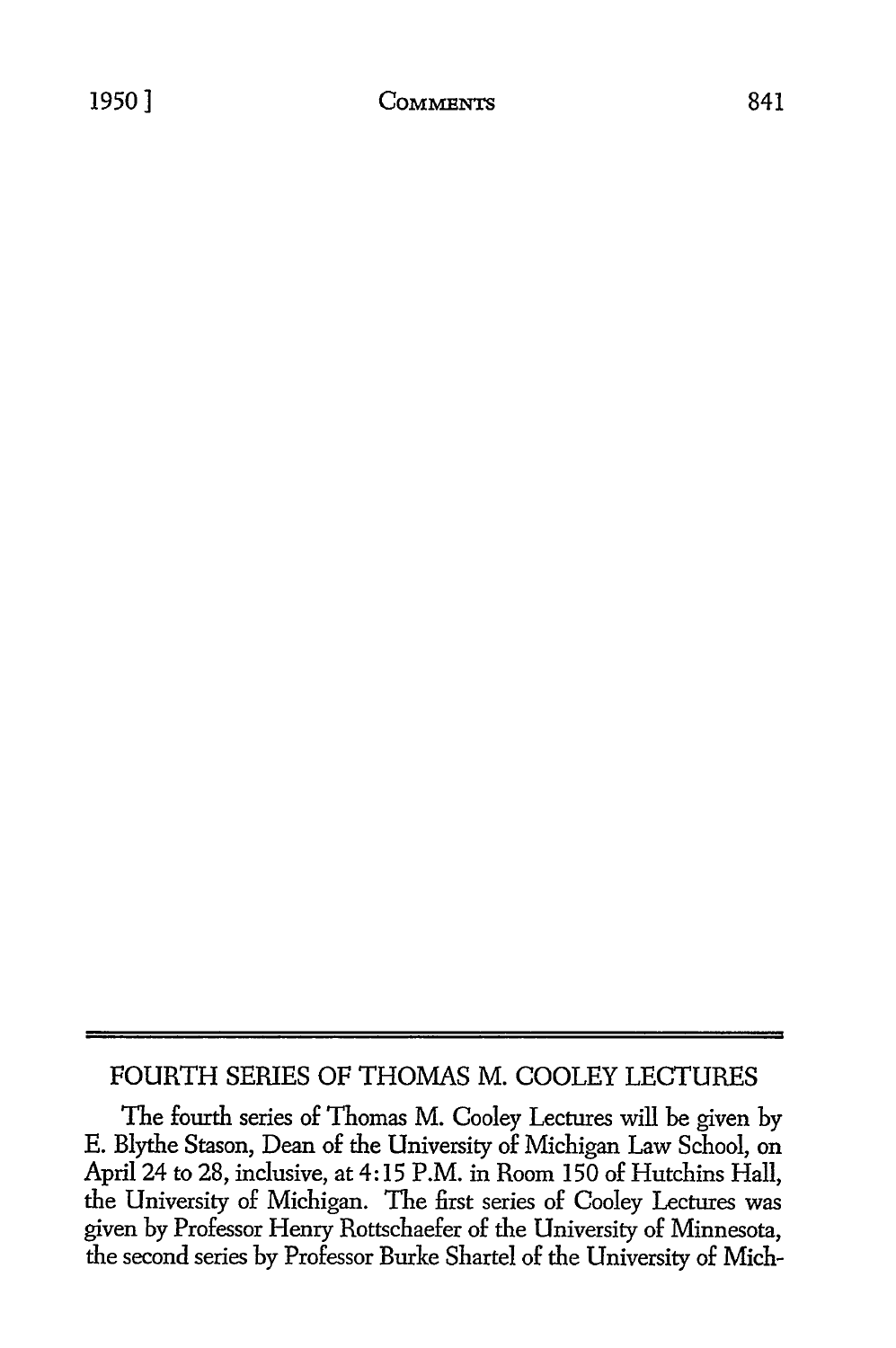841

## FOURTH SERIES OF **THOMAS** M. COOLEY **LECTURES**

The fourth series of Thomas M. Cooley Lectures will be given **by E.** Blythe Stason, Dean of the University of Michigan Law School, on April 24 to 28, inclusive, at 4:15 P.M. in Room 150 of Hutchins Hall, the University of Michigan. The first series of Cooley Lectures was given by Professor Henry Rottschaefer of the University of Minnesota, the second series by Professor Burke Shartel of the University of Mich